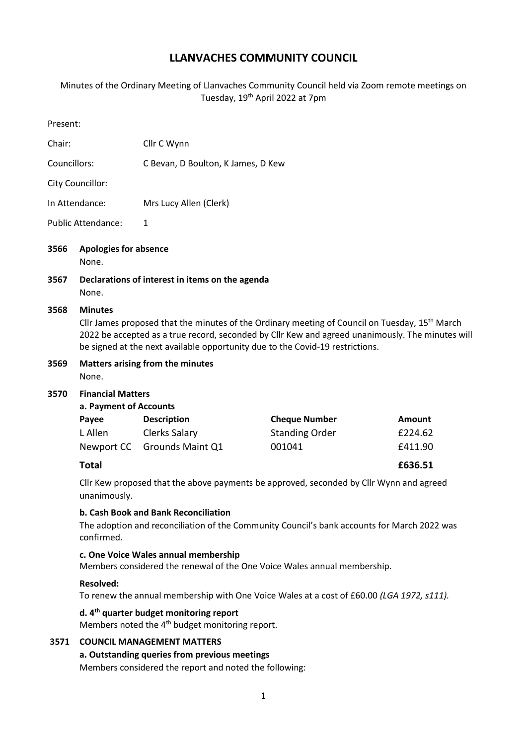# **LLANVACHES COMMUNITY COUNCIL**

Minutes of the Ordinary Meeting of Llanvaches Community Council held via Zoom remote meetings on Tuesday, 19th April 2022 at 7pm

| Present:                  |                                                                                                                                                                                                                                                                                                                   |                                                                                    |                                                         |                              |  |
|---------------------------|-------------------------------------------------------------------------------------------------------------------------------------------------------------------------------------------------------------------------------------------------------------------------------------------------------------------|------------------------------------------------------------------------------------|---------------------------------------------------------|------------------------------|--|
| Chair:                    |                                                                                                                                                                                                                                                                                                                   | Cllr C Wynn                                                                        |                                                         |                              |  |
| Councillors:              |                                                                                                                                                                                                                                                                                                                   | C Bevan, D Boulton, K James, D Kew                                                 |                                                         |                              |  |
|                           | City Councillor:                                                                                                                                                                                                                                                                                                  |                                                                                    |                                                         |                              |  |
| In Attendance:            |                                                                                                                                                                                                                                                                                                                   | Mrs Lucy Allen (Clerk)                                                             |                                                         |                              |  |
| <b>Public Attendance:</b> |                                                                                                                                                                                                                                                                                                                   | $\mathbf{1}$                                                                       |                                                         |                              |  |
| 3566                      | <b>Apologies for absence</b><br>None.                                                                                                                                                                                                                                                                             |                                                                                    |                                                         |                              |  |
| 3567                      | None.                                                                                                                                                                                                                                                                                                             | Declarations of interest in items on the agenda                                    |                                                         |                              |  |
| 3568                      | <b>Minutes</b><br>Cllr James proposed that the minutes of the Ordinary meeting of Council on Tuesday, 15 <sup>th</sup> March<br>2022 be accepted as a true record, seconded by Cllr Kew and agreed unanimously. The minutes will<br>be signed at the next available opportunity due to the Covid-19 restrictions. |                                                                                    |                                                         |                              |  |
| 3569                      | <b>Matters arising from the minutes</b><br>None.                                                                                                                                                                                                                                                                  |                                                                                    |                                                         |                              |  |
| 3570                      | <b>Financial Matters</b><br>a. Payment of Accounts<br>Payee<br>L Allen                                                                                                                                                                                                                                            | <b>Description</b><br>Clerks Salary<br>Newport CC Grounds Maint Q1                 | <b>Cheque Number</b><br><b>Standing Order</b><br>001041 | Amount<br>£224.62<br>£411.90 |  |
|                           | <b>Total</b>                                                                                                                                                                                                                                                                                                      |                                                                                    |                                                         | £636.51                      |  |
|                           | Cllr Kew proposed that the above payments be approved, seconded by Cllr Wynn and agreed<br>unanimously.                                                                                                                                                                                                           |                                                                                    |                                                         |                              |  |
|                           | b. Cash Book and Bank Reconciliation<br>The adoption and reconciliation of the Community Council's bank accounts for March 2022 was<br>confirmed.                                                                                                                                                                 |                                                                                    |                                                         |                              |  |
|                           | c. One Voice Wales annual membership<br>Members considered the renewal of the One Voice Wales annual membership.                                                                                                                                                                                                  |                                                                                    |                                                         |                              |  |
|                           | <b>Resolved:</b><br>To renew the annual membership with One Voice Wales at a cost of £60.00 (LGA 1972, s111).                                                                                                                                                                                                     |                                                                                    |                                                         |                              |  |
|                           | d. 4 <sup>th</sup> quarter budget monitoring report<br>Members noted the 4 <sup>th</sup> budget monitoring report.                                                                                                                                                                                                |                                                                                    |                                                         |                              |  |
| 3571                      |                                                                                                                                                                                                                                                                                                                   | <b>COUNCIL MANAGEMENT MATTERS</b><br>a. Outstanding queries from previous meetings |                                                         |                              |  |

Members considered the report and noted the following: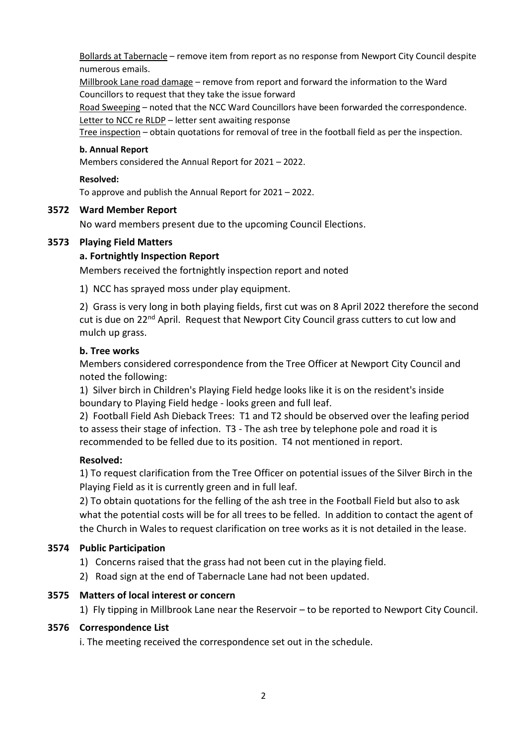Bollards at Tabernacle – remove item from report as no response from Newport City Council despite numerous emails.

Millbrook Lane road damage – remove from report and forward the information to the Ward Councillors to request that they take the issue forward

Road Sweeping – noted that the NCC Ward Councillors have been forwarded the correspondence. Letter to NCC re RLDP – letter sent awaiting response

Tree inspection – obtain quotations for removal of tree in the football field as per the inspection.

### **b. Annual Report**

Members considered the Annual Report for 2021 – 2022.

#### **Resolved:**

To approve and publish the Annual Report for 2021 – 2022.

#### **3572 Ward Member Report**

No ward members present due to the upcoming Council Elections.

### **3573 Playing Field Matters**

#### **a. Fortnightly Inspection Report**

Members received the fortnightly inspection report and noted

1) NCC has sprayed moss under play equipment.

2) Grass is very long in both playing fields, first cut was on 8 April 2022 therefore the second cut is due on 22<sup>nd</sup> April. Request that Newport City Council grass cutters to cut low and mulch up grass.

#### **b. Tree works**

Members considered correspondence from the Tree Officer at Newport City Council and noted the following:

1) Silver birch in Children's Playing Field hedge looks like it is on the resident's inside boundary to Playing Field hedge - looks green and full leaf.

2) Football Field Ash Dieback Trees: T1 and T2 should be observed over the leafing period to assess their stage of infection. T3 - The ash tree by telephone pole and road it is recommended to be felled due to its position. T4 not mentioned in report.

### **Resolved:**

1) To request clarification from the Tree Officer on potential issues of the Silver Birch in the Playing Field as it is currently green and in full leaf.

2) To obtain quotations for the felling of the ash tree in the Football Field but also to ask what the potential costs will be for all trees to be felled. In addition to contact the agent of the Church in Wales to request clarification on tree works as it is not detailed in the lease.

### **3574 Public Participation**

- 1) Concerns raised that the grass had not been cut in the playing field.
- 2) Road sign at the end of Tabernacle Lane had not been updated.

### **3575 Matters of local interest or concern**

1) Fly tipping in Millbrook Lane near the Reservoir – to be reported to Newport City Council.

### **3576 Correspondence List**

i. The meeting received the correspondence set out in the schedule.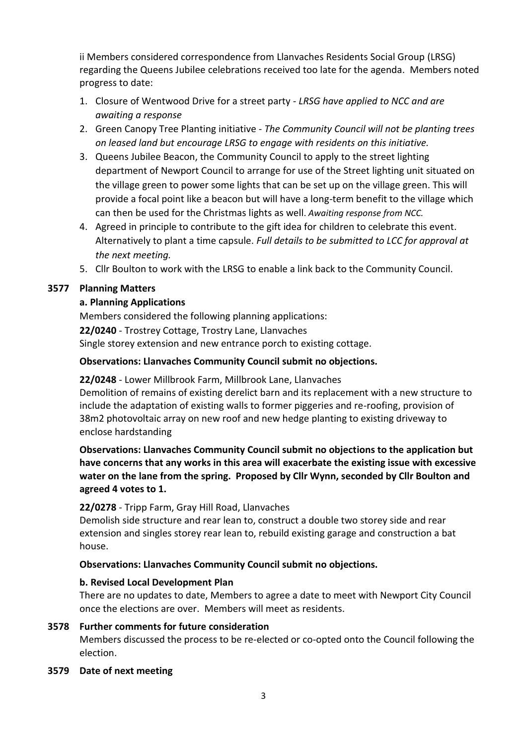ii Members considered correspondence from Llanvaches Residents Social Group (LRSG) regarding the Queens Jubilee celebrations received too late for the agenda. Members noted progress to date:

- 1. Closure of Wentwood Drive for a street party *LRSG have applied to NCC and are awaiting a response*
- 2. Green Canopy Tree Planting initiative *The Community Council will not be planting trees on leased land but encourage LRSG to engage with residents on this initiative.*
- 3. Queens Jubilee Beacon, the Community Council to apply to the street lighting department of Newport Council to arrange for use of the Street lighting unit situated on the village green to power some lights that can be set up on the village green. This will provide a focal point like a beacon but will have a long-term benefit to the village which can then be used for the Christmas lights as well. *Awaiting response from NCC.*
- 4. Agreed in principle to contribute to the gift idea for children to celebrate this event. Alternatively to plant a time capsule. *Full details to be submitted to LCC for approval at the next meeting.*
- 5. Cllr Boulton to work with the LRSG to enable a link back to the Community Council.

# **3577 Planning Matters**

# **a. Planning Applications**

Members considered the following planning applications: **22/0240** - Trostrey Cottage, Trostry Lane, Llanvaches Single storey extension and new entrance porch to existing cottage.

# **Observations: Llanvaches Community Council submit no objections.**

# **22/0248** - Lower Millbrook Farm, Millbrook Lane, Llanvaches

Demolition of remains of existing derelict barn and its replacement with a new structure to include the adaptation of existing walls to former piggeries and re-roofing, provision of 38m2 photovoltaic array on new roof and new hedge planting to existing driveway to enclose hardstanding

**Observations: Llanvaches Community Council submit no objections to the application but have concerns that any works in this area will exacerbate the existing issue with excessive water on the lane from the spring. Proposed by Cllr Wynn, seconded by Cllr Boulton and agreed 4 votes to 1.**

# **22/0278** - Tripp Farm, Gray Hill Road, Llanvaches

Demolish side structure and rear lean to, construct a double two storey side and rear extension and singles storey rear lean to, rebuild existing garage and construction a bat house.

### **Observations: Llanvaches Community Council submit no objections.**

### **b. Revised Local Development Plan**

There are no updates to date, Members to agree a date to meet with Newport City Council once the elections are over. Members will meet as residents.

### **3578 Further comments for future consideration**

Members discussed the process to be re-elected or co-opted onto the Council following the election.

### **3579 Date of next meeting**